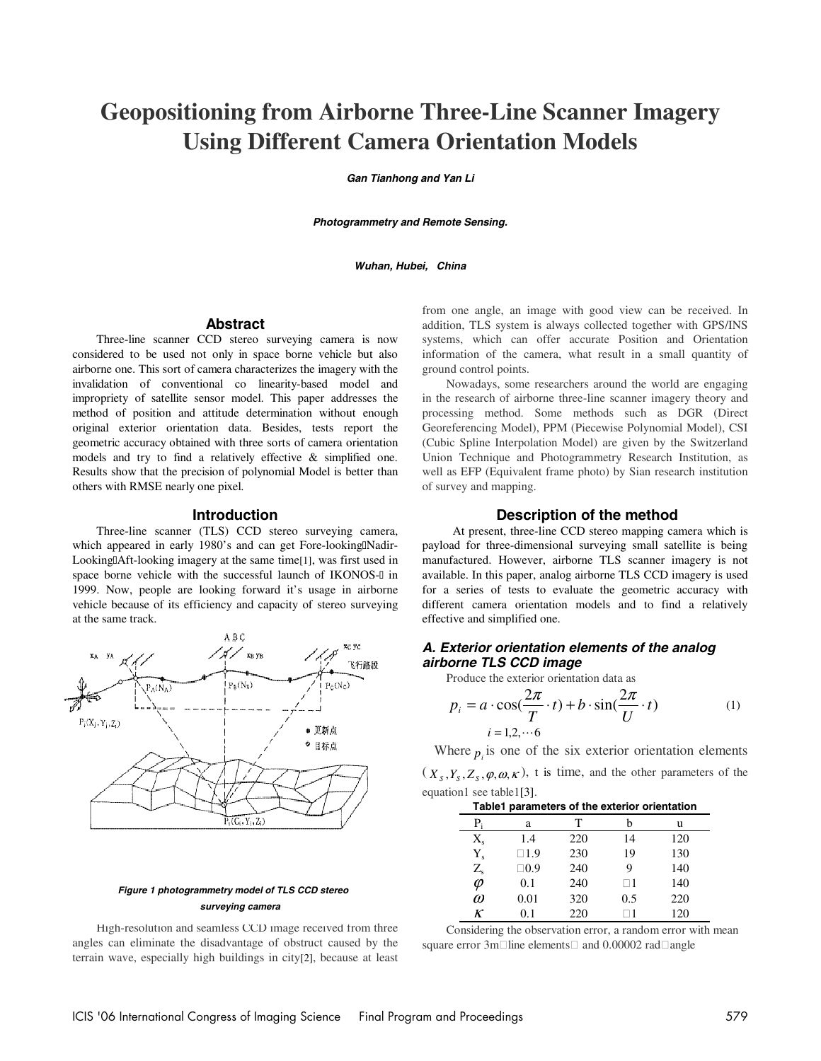# **Geopositioning from Airborne Three-Line Scanner Imagery Using Different Camera Orientation Models**

**Gan Tianhong and Yan Li** 

**Photogrammetry and Remote Sensing.** 

**Wuhan, Hubei, China** 

## **Abstract**

Three-line scanner CCD stereo surveying camera is now considered to be used not only in space borne vehicle but also airborne one. This sort of camera characterizes the imagery with the invalidation of conventional co linearity-based model and impropriety of satellite sensor model. This paper addresses the method of position and attitude determination without enough original exterior orientation data. Besides, tests report the geometric accuracy obtained with three sorts of camera orientation models and try to find a relatively effective & simplified one. Results show that the precision of polynomial Model is better than others with RMSE nearly one pixel.

#### **Introduction**

Three-line scanner (TLS) CCD stereo surveying camera, which appeared in early 1980's and can get Fore-looking Nadir-Looking Aft-looking imagery at the same time[1], was first used in space borne vehicle with the successful launch of IKONOS- in 1999. Now, people are looking forward it's usage in airborne vehicle because of its efficiency and capacity of stereo surveying at the same track.



#### **Figure 1 photogrammetry model of TLS CCD stereo surveying camera**

High-resolution and seamless CCD image received from three angles can eliminate the disadvantage of obstruct caused by the terrain wave, especially high buildings in city[2], because at least from one angle, an image with good view can be received. In addition, TLS system is always collected together with GPS/INS systems, which can offer accurate Position and Orientation information of the camera, what result in a small quantity of ground control points.

Nowadays, some researchers around the world are engaging in the research of airborne three-line scanner imagery theory and processing method. Some methods such as DGR (Direct Georeferencing Model), PPM (Piecewise Polynomial Model), CSI (Cubic Spline Interpolation Model) are given by the Switzerland Union Technique and Photogrammetry Research Institution, as well as EFP (Equivalent frame photo) by Sian research institution of survey and mapping.

#### **Description of the method**

 At present, three-line CCD stereo mapping camera which is payload for three-dimensional surveying small satellite is being manufactured. However, airborne TLS scanner imagery is not available. In this paper, analog airborne TLS CCD imagery is used for a series of tests to evaluate the geometric accuracy with different camera orientation models and to find a relatively effective and simplified one.

### **A. Exterior orientation elements of the analog airborne TLS CCD image**

Produce the exterior orientation data as

$$
p_i = a \cdot \cos(\frac{2\pi}{T} \cdot t) + b \cdot \sin(\frac{2\pi}{U} \cdot t)
$$
  
\n
$$
i = 1, 2, \dots 6
$$
 (1)

Where  $p_i$  is one of the six exterior orientation elements

 $(X_s, Y_s, Z_s, \varphi, \omega, \kappa)$ , t is time, and the other parameters of the equation1 see table1[3].

| Table1 parameters of the exterior orientation |      |     |     |     |  |
|-----------------------------------------------|------|-----|-----|-----|--|
| $P_i$                                         | а    | т   |     | u   |  |
| $X_{s}$                                       | 1.4  | 220 | 14  | 120 |  |
| $Y_{s}$                                       | 1.9  | 230 | 19  | 130 |  |
| $Z_{\rm s}$                                   | 0.9  | 240 | 9   | 140 |  |
| $\varphi$                                     | 0.1  | 240 |     | 140 |  |
| $\omega$                                      | 0.01 | 320 | 0.5 | 220 |  |
| К                                             | 0.1  | 220 |     | 120 |  |

Considering the observation error, a random error with mean square error 3m line elements and 0.00002 rad angle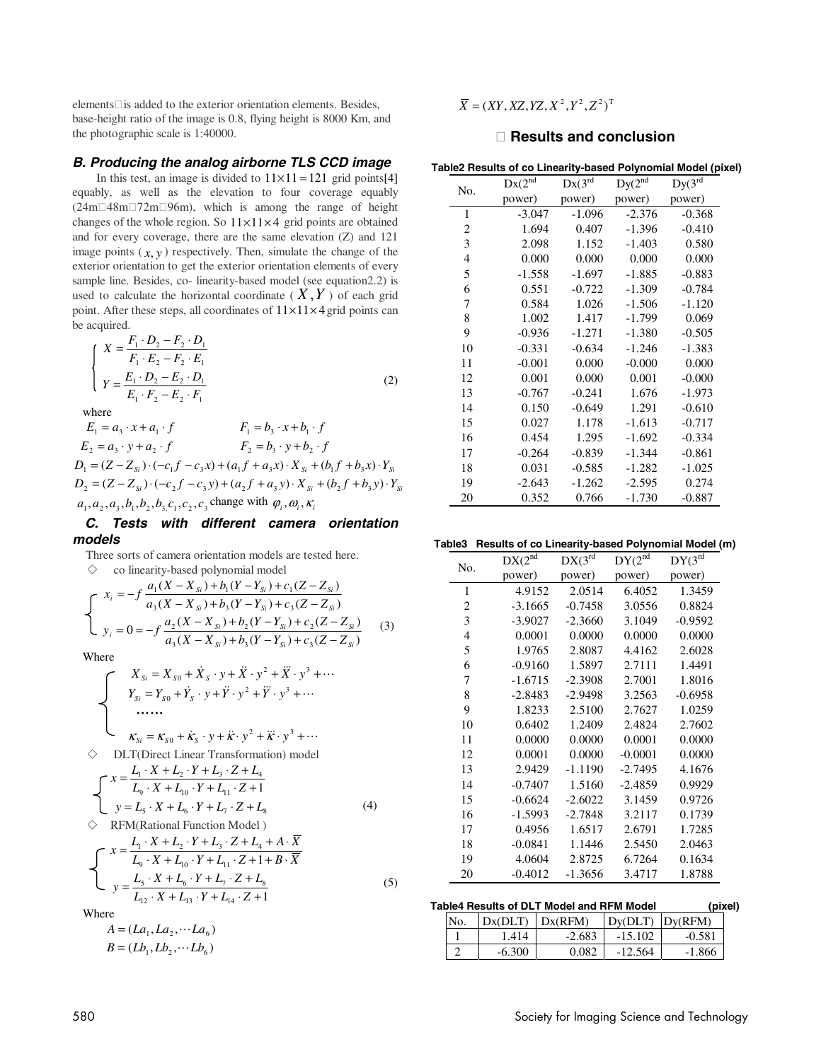elements is added to the exterior orientation elements. Besides, base-height ratio of the image is 0.8, flying height is 8000 Km, and the photographic scale is 1:40000.

# **B. Producing the analog airborne TLS CCD image**

In this test, an image is divided to  $11 \times 11 = 121$  grid points[4] equably, as well as the elevation to four coverage equably (24m 48m 72m 96m), which is among the range of height changes of the whole region. So  $11 \times 11 \times 4$  grid points are obtained and for every coverage, there are the same elevation (Z) and 121 image points  $(x, y)$  respectively. Then, simulate the change of the exterior orientation to get the exterior orientation elements of every sample line. Besides, co- linearity-based model (see equation2.2) is used to calculate the horizontal coordinate  $(X, Y)$  of each grid point. After these steps, all coordinates of  $11 \times 11 \times 4$  grid points can be acquired.

$$
\begin{cases}\nX = \frac{F_1 \cdot D_2 - F_2 \cdot D_1}{F_1 \cdot E_2 - F_2 \cdot E_1} \\
Y = \frac{E_1 \cdot D_2 - E_2 \cdot D_1}{E_1 \cdot F_2 - E_2 \cdot F_1}\n\end{cases}
$$
\n(2)

where

 $E_1 = a_3 \cdot x + a_1 \cdot f$   $F_1 = b_3 \cdot x + b_1 \cdot f$  $E_2 = a_3 \cdot y + a_2 \cdot f$   $F_2 = b_3 \cdot y + b_2 \cdot f$  $D_1 = (Z - Z_{S} \cdot ) \cdot (-c_1 f - c_2 x) + (a_1 f + a_2 x) \cdot X_{S} + (b_1 f + b_2 x) \cdot Y_{S}$  $D_2 = (Z - Z_{Si}) \cdot (-c_2 f - c_3 y) + (a_2 f + a_3 y) \cdot X_{Si} + (b_2 f + b_3 y) \cdot Y_{Si}$  $a_1, a_2, a_3, b_1, b_2, b_3, c_1, c_2, c_3$  change with  $\varphi_i, \omega_i, \kappa_i$ 

## **C. Tests with different camera orientation models**

 Three sorts of camera orientation models are tested here.  $\diamondsuit$  co linearity-based polynomial model

$$
\begin{cases}\nx_i = -f \frac{a_1(X - X_{si}) + b_1(Y - Y_{si}) + c_1(Z - Z_{si})}{a_3(X - X_{si}) + b_3(Y - Y_{si}) + c_3(Z - Z_{si})} \\
y_i = 0 = -f \frac{a_2(X - X_{si}) + b_2(Y - Y_{si}) + c_2(Z - Z_{si})}{a_3(X - X_{si}) + b_3(Y - Y_{si}) + c_3(Z - Z_{si})}\n\end{cases} (3)
$$

Where

where  
\n
$$
X_{Si} = X_{S0} + \dot{X}_{S} \cdot y + \ddot{X} \cdot y^{2} + \ddot{X} \cdot y^{3} + \cdots
$$
\n
$$
Y_{Si} = Y_{S0} + \dot{Y}_{S} \cdot y + \ddot{Y} \cdot y^{2} + \ddot{Y} \cdot y^{3} + \cdots
$$
\n
$$
...
$$
\n
$$
K_{Si} = K_{S0} + \dot{K}_{S} \cdot y + \dot{K} \cdot y^{2} + \ddot{K} \cdot y^{3} + \cdots
$$
\n
$$
∴
$$
\n
$$
X = \frac{L_{1} \cdot X + L_{2} \cdot Y + L_{3} \cdot Z + L_{4}}{L_{9} \cdot X + L_{10} \cdot Y + L_{11} \cdot Z + 1}
$$
\n
$$
y = L_{5} \cdot X + L_{6} \cdot Y + L_{7} \cdot Z + L_{8}
$$
\n
$$
∴
$$
\n
$$
X = \frac{L_{1} \cdot X + L_{2} \cdot Y + L_{3} \cdot Z + L_{4} + A \cdot \overline{X}}{X + L_{2} \cdot Y + L_{3} \cdot Z + L_{4} + A \cdot \overline{X}}
$$
\n(4)

$$
\begin{cases}\n x = \frac{L_1 \cdot X + L_2 \cdot Y + L_3 \cdot Z + L_4 + A \cdot X}{L_9 \cdot X + L_{10} \cdot Y + L_{11} \cdot Z + 1 + B \cdot \overline{X}} \\
 y = \frac{L_5 \cdot X + L_6 \cdot Y + L_7 \cdot Z + L_8}{L_{12} \cdot X + L_{13} \cdot Y + L_{14} \cdot Z + 1}\n \end{cases} (5)
$$

Where

$$
A = (La_1, La_2, \cdots La_6)
$$
  
 
$$
B = (Lb_1, Lb_2, \cdots Lb_6)
$$

 $\overline{X} = (XY, XZ, YZ, X^2, Y^2, Z^2)^T$ 

# **Results and conclusion**

 **Table2 Results of co Linearity-based Polynomial Model (pixel)** 

| No.            | $Dx(2^{nd}$ | $Dx(3^{rd}$ | $Dy(2^{nd}$ | $Dy(3^{rd}$ |
|----------------|-------------|-------------|-------------|-------------|
|                | power)      | power)      | power)      | power)      |
| 1              | $-3.047$    | $-1.096$    | $-2.376$    | $-0.368$    |
| $\overline{c}$ | 1.694       | 0.407       | $-1.396$    | $-0.410$    |
| 3              | 2.098       | 1.152       | $-1.403$    | 0.580       |
| $\overline{4}$ | 0.000       | 0.000       | 0.000       | 0.000       |
| 5              | $-1.558$    | $-1.697$    | $-1.885$    | $-0.883$    |
| 6              | 0.551       | $-0.722$    | $-1.309$    | $-0.784$    |
| 7              | 0.584       | 1.026       | $-1.506$    | $-1.120$    |
| 8              | 1.002       | 1.417       | $-1.799$    | 0.069       |
| 9              | $-0.936$    | $-1.271$    | $-1.380$    | $-0.505$    |
| 10             | $-0.331$    | $-0.634$    | $-1.246$    | $-1.383$    |
| 11             | $-0.001$    | 0.000       | $-0.000$    | 0.000       |
| 12             | 0.001       | 0.000       | 0.001       | $-0.000$    |
| 13             | $-0.767$    | $-0.241$    | 1.676       | $-1.973$    |
| 14             | 0.150       | $-0.649$    | 1.291       | $-0.610$    |
| 15             | 0.027       | 1.178       | $-1.613$    | $-0.717$    |
| 16             | 0.454       | 1.295       | $-1.692$    | $-0.334$    |
| 17             | $-0.264$    | $-0.839$    | $-1.344$    | $-0.861$    |
| 18             | 0.031       | $-0.585$    | $-1.282$    | $-1.025$    |
| 19             | $-2.643$    | $-1.262$    | $-2.595$    | 0.274       |
| 20             | 0.352       | 0.766       | $-1.730$    | $-0.887$    |

#### **Table3 Results of co Linearity-based Polynomial Model (m)**

| No. | $DX(2^{nd}$ | $DX(3^{rd}$ | DY(2 <sup>nd</sup> ) | $DY(3^{rd}$ |
|-----|-------------|-------------|----------------------|-------------|
|     | power)      | power)      | power)               | power)      |
| 1   | 4.9152      | 2.0514      | 6.4052               | 1.3459      |
| 2   | $-3.1665$   | $-0.7458$   | 3.0556               | 0.8824      |
| 3   | $-3.9027$   | $-2.3660$   | 3.1049               | $-0.9592$   |
| 4   | 0.0001      | 0.0000      | 0.0000               | 0.0000      |
| 5   | 1.9765      | 2.8087      | 4.4162               | 2.6028      |
| 6   | $-0.9160$   | 1.5897      | 2.7111               | 1.4491      |
| 7   | $-1.6715$   | $-2.3908$   | 2.7001               | 1.8016      |
| 8   | $-2.8483$   | $-2.9498$   | 3.2563               | $-0.6958$   |
| 9   | 1.8233      | 2.5100      | 2.7627               | 1.0259      |
| 10  | 0.6402      | 1.2409      | 2.4824               | 2.7602      |
| 11  | 0.0000      | 0.0000      | 0.0001               | 0.0000      |
| 12  | 0.0001      | 0.0000      | $-0.0001$            | 0.0000      |
| 13  | 2.9429      | $-1.1190$   | $-2.7495$            | 4.1676      |
| 14  | $-0.7407$   | 1.5160      | $-2.4859$            | 0.9929      |
| 15  | $-0.6624$   | $-2.6022$   | 3.1459               | 0.9726      |
| 16  | $-1.5993$   | $-2.7848$   | 3.2117               | 0.1739      |
| 17  | 0.4956      | 1.6517      | 2.6791               | 1.7285      |
| 18  | $-0.0841$   | 1.1446      | 2.5450               | 2.0463      |
| 19  | 4.0604      | 2.8725      | 6.7264               | 0.1634      |
| 20  | $-0.4012$   | $-1.3656$   | 3.4717               | 1.8788      |

## **Table4 Results of DLT Model and RFM Model (pixel)**

| No. | Dx(DLT)  | Dx(RFM)  | $Dy(DLT)$ $Dy(RFM)$ |          |
|-----|----------|----------|---------------------|----------|
|     | 1.414    | $-2.683$ | $-15.102$           | $-0.581$ |
|     | $-6.300$ | 0.082    | $-12.564$           | $-1.866$ |